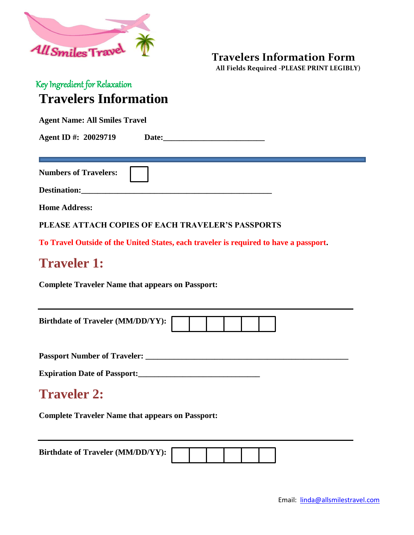

**Travelers Information Form**

 **All Fields Required -PLEASE PRINT LEGIBLY)**

## Key Ingredient for Relaxation **Travelers Information**

**Agent Name: All Smiles Travel**

Agent ID #: 20029719 Date: 20029719 Date:

**Numbers of Travelers:** 

Destination:

**Home Address:**

**PLEASE ATTACH COPIES OF EACH TRAVELER'S PASSPORTS**

**To Travel Outside of the United States, each traveler is required to have a passport.** 

## **Traveler 1:**

**Complete Traveler Name that appears on Passport:**

| <b>Birthdate of Traveler (MM/DD/YY):</b> |  |  |  |
|------------------------------------------|--|--|--|
|                                          |  |  |  |

**Passport Number of Traveler: \_\_\_\_\_\_\_\_\_\_\_\_\_\_\_\_\_\_\_\_\_\_\_\_\_\_\_\_\_\_\_\_\_\_\_\_\_\_\_\_\_\_\_\_\_\_\_\_\_\_** 

**Expiration Date of Passport:\_\_\_\_\_\_\_\_\_\_\_\_\_\_\_\_\_\_\_\_\_\_\_\_\_\_\_\_\_\_**

## **Traveler 2:**

**Complete Traveler Name that appears on Passport:**

**Birthdate of Traveler (MM/DD/YY):**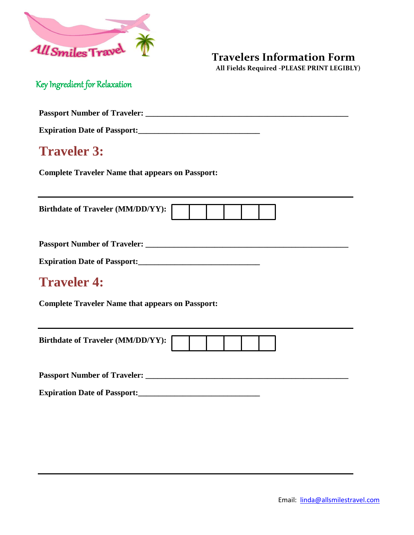

#### **Travelers Information Form**

 **All Fields Required -PLEASE PRINT LEGIBLY)**

Key Ingredient for Relaxation

**Passport Number of Traveler: \_\_\_\_\_\_\_\_\_\_\_\_\_\_\_\_\_\_\_\_\_\_\_\_\_\_\_\_\_\_\_\_\_\_\_\_\_\_\_\_\_\_\_\_\_\_\_\_\_\_** 

**Expiration Date of Passport:\_\_\_\_\_\_\_\_\_\_\_\_\_\_\_\_\_\_\_\_\_\_\_\_\_\_\_\_\_\_**

## **Traveler 3:**

**Complete Traveler Name that appears on Passport:**

**Birthdate of Traveler (MM/DD/YY):** 

**Passport Number of Traveler: \_\_\_\_\_\_\_\_\_\_\_\_\_\_\_\_\_\_\_\_\_\_\_\_\_\_\_\_\_\_\_\_\_\_\_\_\_\_\_\_\_\_\_\_\_\_\_\_\_\_** 

**Expiration Date of Passport:\_\_\_\_\_\_\_\_\_\_\_\_\_\_\_\_\_\_\_\_\_\_\_\_\_\_\_\_\_\_**

# **Traveler 4:**

**Complete Traveler Name that appears on Passport:**

| <b>Birthdate of Traveler (MM/DD/YY):</b> |  |  |  |
|------------------------------------------|--|--|--|
|                                          |  |  |  |
|                                          |  |  |  |

**Passport Number of Traveler: \_\_\_\_\_\_\_\_\_\_\_\_\_\_\_\_\_\_\_\_\_\_\_\_\_\_\_\_\_\_\_\_\_\_\_\_\_\_\_\_\_\_\_\_\_\_\_\_\_\_** 

**Expiration Date of Passport:\_\_\_\_\_\_\_\_\_\_\_\_\_\_\_\_\_\_\_\_\_\_\_\_\_\_\_\_\_\_**